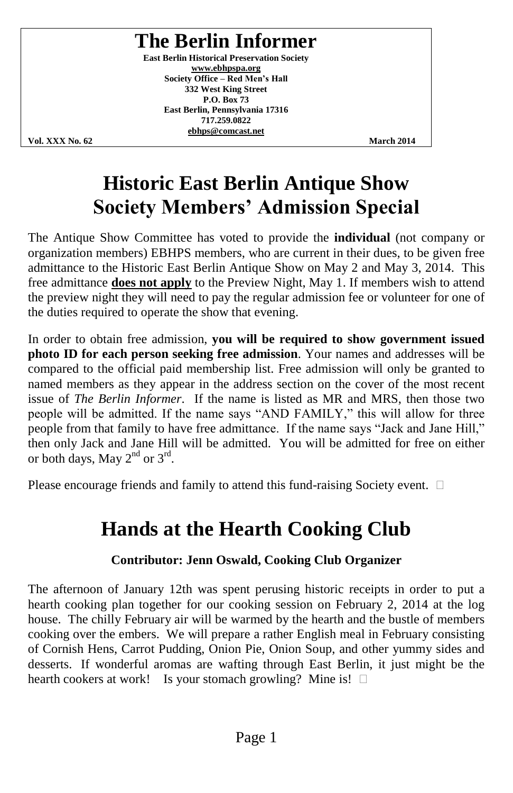## **The Berlin Informer**

**East Berlin Historical Preservation Society www.ebhpspa.org Society Office - Red Men's Hall 332 West King Street P.O. Box 73 East Berlin, Pennsylvania 17316 717.259.0822 ebhps@comcast.net**

**Vol. XXX No. 62 March 2014**

## **Historic East Berlin Antique Show Society Members' Admission Special**

The Antique Show Committee has voted to provide the **individual** (not company or organization members) EBHPS members, who are current in their dues, to be given free admittance to the Historic East Berlin Antique Show on May 2 and May 3, 2014. This free admittance **does not apply** to the Preview Night, May 1. If members wish to attend the preview night they will need to pay the regular admission fee or volunteer for one of the duties required to operate the show that evening.

In order to obtain free admission, **you will be required to show government issued photo ID for each person seeking free admission**. Your names and addresses will be compared to the official paid membership list. Free admission will only be granted to named members as they appear in the address section on the cover of the most recent issue of *The Berlin Informer*. If the name is listed as MR and MRS, then those two people will be admitted. If the name says "AND FAMILY," this will allow for three people from that family to have free admittance. If the name says "Jack and Jane Hill," then only Jack and Jane Hill will be admitted. You will be admitted for free on either or both days, May  $2^{nd}$  or  $3^{rd}$ .

Please encourage friends and family to attend this fund-raising Society event.  $\Box$ 

## **Hands at the Hearth Cooking Club**

### **Contributor: Jenn Oswald, Cooking Club Organizer**

The afternoon of January 12th was spent perusing historic receipts in order to put a hearth cooking plan together for our cooking session on February 2, 2014 at the log house. The chilly February air will be warmed by the hearth and the bustle of members cooking over the embers. We will prepare a rather English meal in February consisting of Cornish Hens, Carrot Pudding, Onion Pie, Onion Soup, and other yummy sides and desserts. If wonderful aromas are wafting through East Berlin, it just might be the hearth cookers at work! Is your stomach growling? Mine is!  $\square$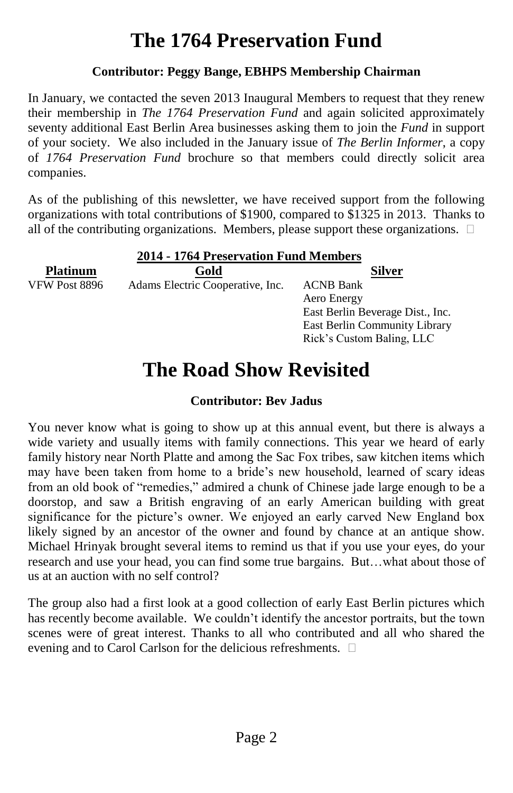# **The 1764 Preservation Fund**

### **Contributor: Peggy Bange, EBHPS Membership Chairman**

In January, we contacted the seven 2013 Inaugural Members to request that they renew their membership in *The 1764 Preservation Fund* and again solicited approximately seventy additional East Berlin Area businesses asking them to join the *Fund* in support of your society. We also included in the January issue of *The Berlin Informer*, a copy of *1764 Preservation Fund* brochure so that members could directly solicit area companies.

As of the publishing of this newsletter, we have received support from the following organizations with total contributions of \$1900, compared to \$1325 in 2013. Thanks to all of the contributing organizations. Members, please support these organizations.  $\Box$ 

| 2014 - 1764 Preservation Fund Members |                                  |                                  |  |  |
|---------------------------------------|----------------------------------|----------------------------------|--|--|
| <b>Platinum</b>                       | Gold                             | Silver                           |  |  |
| VFW Post 8896                         | Adams Electric Cooperative, Inc. | <b>ACNB Bank</b>                 |  |  |
|                                       |                                  | Aero Energy                      |  |  |
|                                       |                                  | East Berlin Beverage Dist., Inc. |  |  |
|                                       |                                  | East Berlin Community Library    |  |  |
|                                       |                                  | Rick's Custom Baling, LLC        |  |  |

## **The Road Show Revisited**

### **Contributor: Bev Jadus**

You never know what is going to show up at this annual event, but there is always a wide variety and usually items with family connections. This year we heard of early family history near North Platte and among the Sac Fox tribes, saw kitchen items which may have been taken from home to a bride's new household, learned of scary ideas from an old book of "remedies," admired a chunk of Chinese jade large enough to be a doorstop, and saw a British engraving of an early American building with great significance for the picture's owner. We enjoyed an early carved New England box likely signed by an ancestor of the owner and found by chance at an antique show. Michael Hrinyak brought several items to remind us that if you use your eyes, do your research and use your head, you can find some true bargains. But...what about those of us at an auction with no self control?

The group also had a first look at a good collection of early East Berlin pictures which has recently become available. We couldn't identify the ancestor portraits, but the town scenes were of great interest. Thanks to all who contributed and all who shared the evening and to Carol Carlson for the delicious refreshments.  $\square$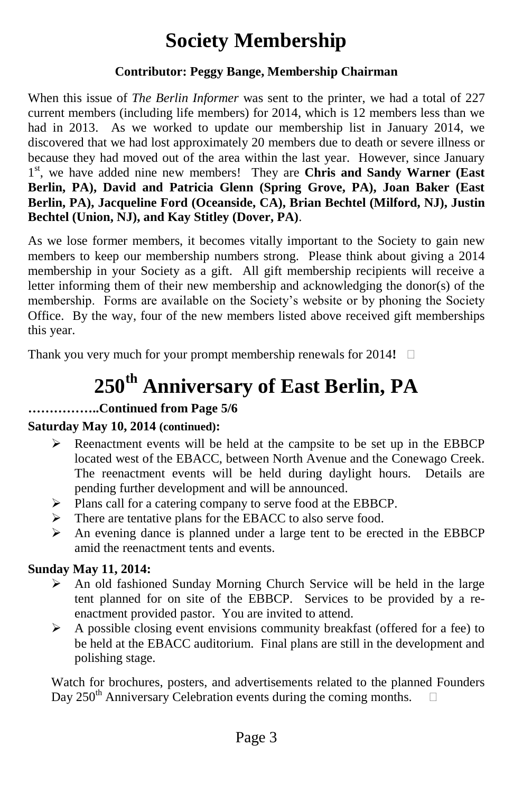## **Society Membership**

### **Contributor: Peggy Bange, Membership Chairman**

When this issue of *The Berlin Informer* was sent to the printer, we had a total of 227 current members (including life members) for 2014, which is 12 members less than we had in 2013. As we worked to update our membership list in January 2014, we discovered that we had lost approximately 20 members due to death or severe illness or because they had moved out of the area within the last year. However, since January 1<sup>st</sup>, we have added nine new members! They are Chris and Sandy Warner (East **Berlin, PA), David and Patricia Glenn (Spring Grove, PA), Joan Baker (East Berlin, PA), Jacqueline Ford (Oceanside, CA), Brian Bechtel (Milford, NJ), Justin Bechtel (Union, NJ), and Kay Stitley (Dover, PA)**.

As we lose former members, it becomes vitally important to the Society to gain new members to keep our membership numbers strong. Please think about giving a 2014 membership in your Society as a gift. All gift membership recipients will receive a letter informing them of their new membership and acknowledging the donor(s) of the membership. Forms are available on the Society's website or by phoning the Society Office. By the way, four of the new members listed above received gift memberships this year.

Thank you very much for your prompt membership renewals for 2014**!**

# **250th Anniversary of East Berlin, PA**

### **……………..Continued from Page 5/6**

### **Saturday May 10, 2014 (continued):**

- $\triangleright$  Reenactment events will be held at the campsite to be set up in the EBBCP located west of the EBACC, between North Avenue and the Conewago Creek. The reenactment events will be held during daylight hours. Details are pending further development and will be announced.
- Plans call for a catering company to serve food at the EBBCP.
- > There are tentative plans for the EBACC to also serve food.
- $\triangleright$  An evening dance is planned under a large tent to be erected in the EBBCP amid the reenactment tents and events.

### **Sunday May 11, 2014:**

- $\triangleright$  An old fashioned Sunday Morning Church Service will be held in the large tent planned for on site of the EBBCP. Services to be provided by a reenactment provided pastor. You are invited to attend.
- $\triangleright$  A possible closing event envisions community breakfast (offered for a fee) to be held at the EBACC auditorium. Final plans are still in the development and polishing stage.

Watch for brochures, posters, and advertisements related to the planned Founders Day 250<sup>th</sup> Anniversary Celebration events during the coming months.  $\square$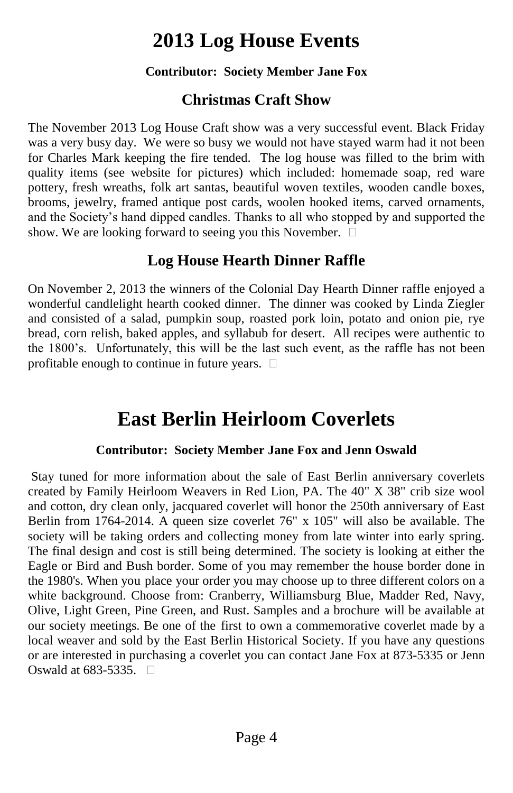## **2013 Log House Events**

### **Contributor: Society Member Jane Fox**

## **Christmas Craft Show**

The November 2013 Log House Craft show was a very successful event. Black Friday was a very busy day. We were so busy we would not have stayed warm had it not been for Charles Mark keeping the fire tended. The log house was filled to the brim with quality items (see website for pictures) which included: homemade soap, red ware pottery, fresh wreaths, folk art santas, beautiful woven textiles, wooden candle boxes, brooms, jewelry, framed antique post cards, woolen hooked items, carved ornaments, and the Society's hand dipped candles. Thanks to all who stopped by and supported the show. We are looking forward to seeing you this November.  $\Box$ 

## **Log House Hearth Dinner Raffle**

On November 2, 2013 the winners of the Colonial Day Hearth Dinner raffle enjoyed a wonderful candlelight hearth cooked dinner. The dinner was cooked by Linda Ziegler and consisted of a salad, pumpkin soup, roasted pork loin, potato and onion pie, rye bread, corn relish, baked apples, and syllabub for desert. All recipes were authentic to the 1800's. Unfortunately, this will be the last such event, as the raffle has not been profitable enough to continue in future years.

## **East Berlin Heirloom Coverlets**

### **Contributor: Society Member Jane Fox and Jenn Oswald**

Stay tuned for more information about the sale of East Berlin anniversary coverlets created by Family Heirloom Weavers in Red Lion, PA. The 40" X 38" crib size wool and cotton, dry clean only, jacquared coverlet will honor the 250th anniversary of East Berlin from 1764-2014. A queen size coverlet 76" x 105" will also be available. The society will be taking orders and collecting money from late winter into early spring. The final design and cost is still being determined. The society is looking at either the Eagle or Bird and Bush border. Some of you may remember the house border done in the 1980's. When you place your order you may choose up to three different colors on a white background. Choose from: Cranberry, Williamsburg Blue, Madder Red, Navy, Olive, Light Green, Pine Green, and Rust. Samples and a brochure will be available at our society meetings. Be one of the first to own a commemorative coverlet made by a local weaver and sold by the East Berlin Historical Society. If you have any questions or are interested in purchasing a coverlet you can contact Jane Fox at 873-5335 or Jenn Oswald at 683-5335. □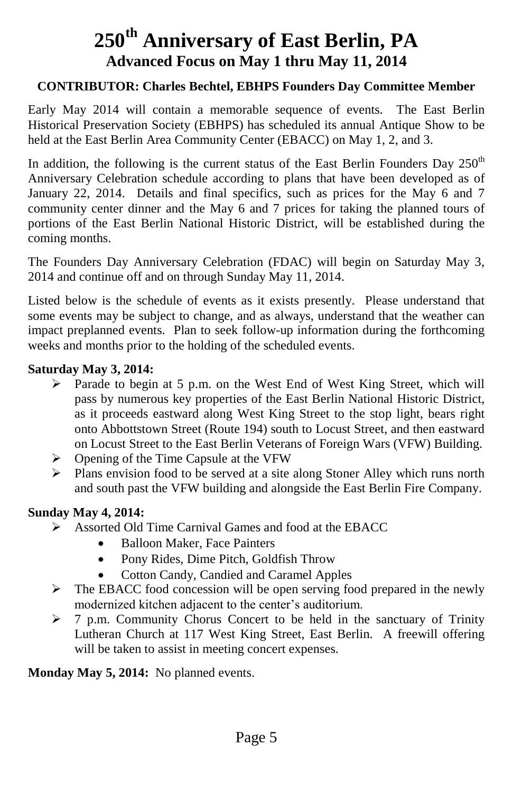## **250th Anniversary of East Berlin, PA Advanced Focus on May 1 thru May 11, 2014**

#### **CONTRIBUTOR: Charles Bechtel, EBHPS Founders Day Committee Member**

Early May 2014 will contain a memorable sequence of events. The East Berlin Historical Preservation Society (EBHPS) has scheduled its annual Antique Show to be held at the East Berlin Area Community Center (EBACC) on May 1, 2, and 3.

In addition, the following is the current status of the East Berlin Founders Day  $250<sup>th</sup>$ Anniversary Celebration schedule according to plans that have been developed as of January 22, 2014. Details and final specifics, such as prices for the May 6 and 7 community center dinner and the May 6 and 7 prices for taking the planned tours of portions of the East Berlin National Historic District, will be established during the coming months.

The Founders Day Anniversary Celebration (FDAC) will begin on Saturday May 3, 2014 and continue off and on through Sunday May 11, 2014.

Listed below is the schedule of events as it exists presently. Please understand that some events may be subject to change, and as always, understand that the weather can impact preplanned events. Plan to seek follow-up information during the forthcoming weeks and months prior to the holding of the scheduled events.

#### **Saturday May 3, 2014:**

- Parade to begin at 5 p.m. on the West End of West King Street, which will pass by numerous key properties of the East Berlin National Historic District, as it proceeds eastward along West King Street to the stop light, bears right onto Abbottstown Street (Route 194) south to Locust Street, and then eastward on Locust Street to the East Berlin Veterans of Foreign Wars (VFW) Building.
- $\triangleright$  Opening of the Time Capsule at the VFW
- $\triangleright$  Plans envision food to be served at a site along Stoner Alley which runs north and south past the VFW building and alongside the East Berlin Fire Company.

#### **Sunday May 4, 2014:**

- Assorted Old Time Carnival Games and food at the EBACC
	- Balloon Maker, Face Painters
	- Pony Rides, Dime Pitch, Goldfish Throw
	- Cotton Candy, Candied and Caramel Apples
- $\triangleright$  The EBACC food concession will be open serving food prepared in the newly modernized kitchen adjacent to the center's auditorium.
- $\geq 7$  p.m. Community Chorus Concert to be held in the sanctuary of Trinity Lutheran Church at 117 West King Street, East Berlin. A freewill offering will be taken to assist in meeting concert expenses.

**Monday May 5, 2014:** No planned events.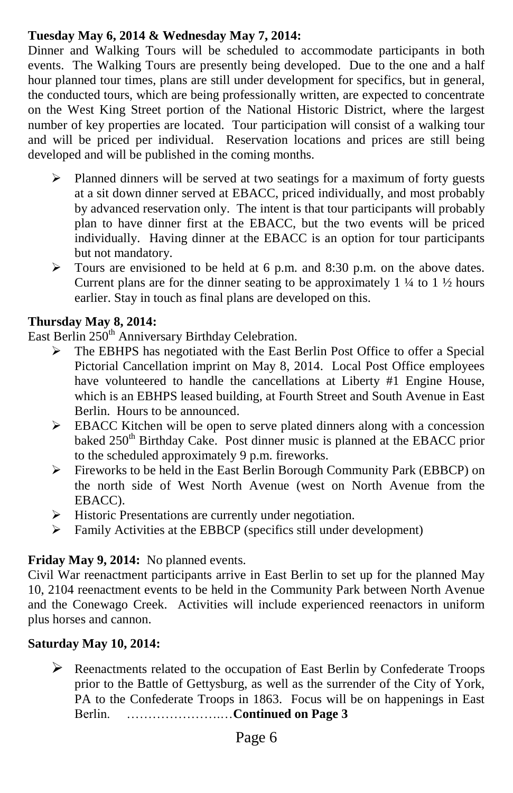### **Tuesday May 6, 2014 & Wednesday May 7, 2014:**

Dinner and Walking Tours will be scheduled to accommodate participants in both events. The Walking Tours are presently being developed. Due to the one and a half hour planned tour times, plans are still under development for specifics, but in general, the conducted tours, which are being professionally written, are expected to concentrate on the West King Street portion of the National Historic District, where the largest number of key properties are located. Tour participation will consist of a walking tour and will be priced per individual. Reservation locations and prices are still being developed and will be published in the coming months.

- $\triangleright$  Planned dinners will be served at two seatings for a maximum of forty guests at a sit down dinner served at EBACC, priced individually, and most probably by advanced reservation only. The intent is that tour participants will probably plan to have dinner first at the EBACC, but the two events will be priced individually. Having dinner at the EBACC is an option for tour participants but not mandatory.
- $\triangleright$  Tours are envisioned to be held at 6 p.m. and 8:30 p.m. on the above dates. Current plans are for the dinner seating to be approximately  $1\frac{1}{4}$  to  $1\frac{1}{2}$  hours earlier. Stay in touch as final plans are developed on this.

#### **Thursday May 8, 2014:**

East Berlin 250<sup>th</sup> Anniversary Birthday Celebration.

- The EBHPS has negotiated with the East Berlin Post Office to offer a Special Pictorial Cancellation imprint on May 8, 2014. Local Post Office employees have volunteered to handle the cancellations at Liberty #1 Engine House, which is an EBHPS leased building, at Fourth Street and South Avenue in East Berlin. Hours to be announced.
- $\triangleright$  EBACC Kitchen will be open to serve plated dinners along with a concession baked 250<sup>th</sup> Birthday Cake. Post dinner music is planned at the EBACC prior to the scheduled approximately 9 p.m. fireworks.
- Fireworks to be held in the East Berlin Borough Community Park (EBBCP) on the north side of West North Avenue (west on North Avenue from the EBACC).
- $\triangleright$  Historic Presentations are currently under negotiation.
- Family Activities at the EBBCP (specifics still under development)

### **Friday May 9, 2014:** No planned events.

Civil War reenactment participants arrive in East Berlin to set up for the planned May 10, 2104 reenactment events to be held in the Community Park between North Avenue and the Conewago Creek. Activities will include experienced reenactors in uniform plus horses and cannon.

### **Saturday May 10, 2014:**

 $\triangleright$  Reenactments related to the occupation of East Berlin by Confederate Troops prior to the Battle of Gettysburg, as well as the surrender of the City of York, PA to the Confederate Troops in 1863. Focus will be on happenings in East Berlin. ………………….…**Continued on Page 3**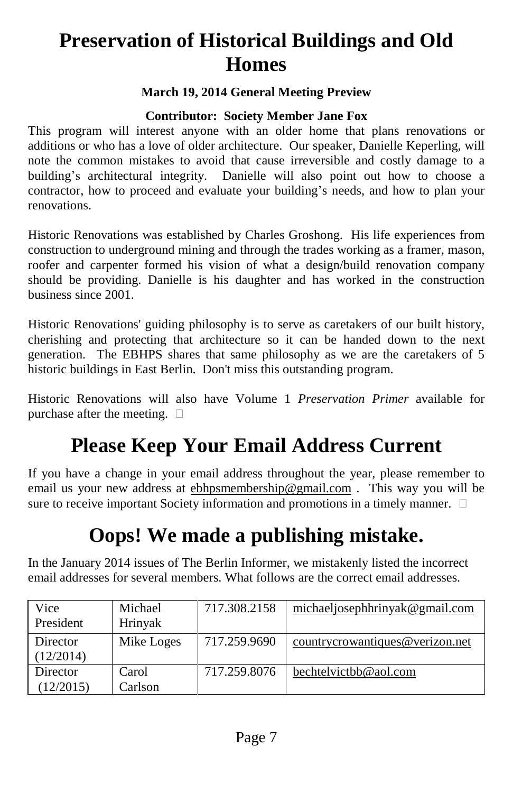# **Preservation of Historical Buildings and Old Homes**

### **March 19, 2014 General Meeting Preview**

#### **Contributor: Society Member Jane Fox**

This program will interest anyone with an older home that plans renovations or additions or who has a love of older architecture. Our speaker, Danielle Keperling, will note the common mistakes to avoid that cause irreversible and costly damage to a building's architectural integrity. Danielle will also point out how to choose a contractor, how to proceed and evaluate your building's needs, and how to plan your renovations.

Historic Renovations was established by Charles Groshong. His life experiences from construction to underground mining and through the trades working as a framer, mason, roofer and carpenter formed his vision of what a design/build renovation company should be providing. Danielle is his daughter and has worked in the construction business since 2001.

Historic Renovations' guiding philosophy is to serve as caretakers of our built history, cherishing and protecting that architecture so it can be handed down to the next generation. The EBHPS shares that same philosophy as we are the caretakers of 5 historic buildings in East Berlin. Don't miss this outstanding program.

Historic Renovations will also have Volume 1 *Preservation Primer* available for purchase after the meeting.  $\Box$ 

# **Please Keep Your Email Address Current**

If you have a change in your email address throughout the year, please remember to email us your new address at ebhpsmembership@gmail.com . This way you will be sure to receive important Society information and promotions in a timely manner.  $\Box$ 

## **Oops! We made a publishing mistake.**

In the January 2014 issues of The Berlin Informer, we mistakenly listed the incorrect email addresses for several members. What follows are the correct email addresses.

| Vice<br>President     | Michael<br>Hrinyak | 717.308.2158 | michaeljosephhrinyak@gmail.com  |
|-----------------------|--------------------|--------------|---------------------------------|
| Director<br>(12/2014) | Mike Loges         | 717.259.9690 | countrycrowantiques@verizon.net |
| Director<br>(12/2015) | Carol<br>Carlson   | 717.259.8076 | bechtelvictbb@aol.com           |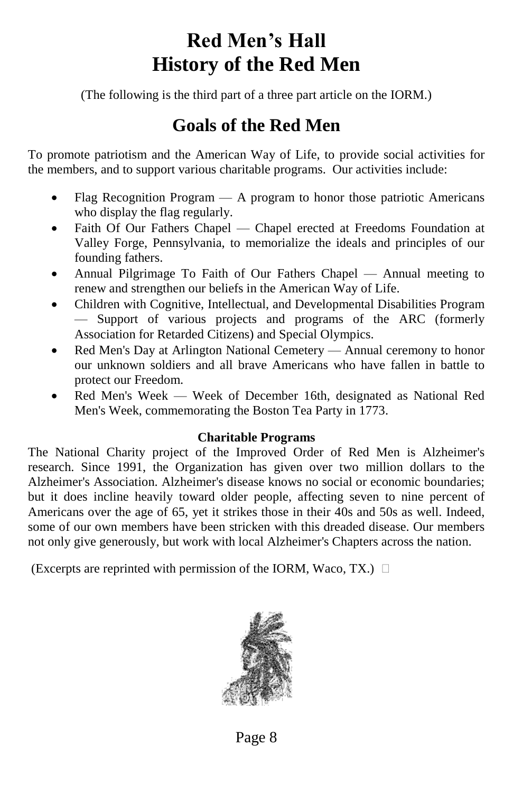## Red Men's Hall **History of the Red Men**

(The following is the third part of a three part article on the IORM.)

## **Goals of the Red Men**

To promote patriotism and the American Way of Life, to provide social activities for the members, and to support various charitable programs. Our activities include:

- Flag Recognition Program A program to honor those patriotic Americans who display the flag regularly.
- Faith Of Our Fathers Chapel Chapel erected at Freedoms Foundation at Valley Forge, Pennsylvania, to memorialize the ideals and principles of our founding fathers.
- Annual Pilgrimage To Faith of Our Fathers Chapel Annual meeting to renew and strengthen our beliefs in the American Way of Life.
- Children with Cognitive, Intellectual, and Developmental Disabilities Program — Support of various projects and programs of the ARC (formerly Association for Retarded Citizens) and Special Olympics.
- Red Men's Day at Arlington National Cemetery Annual ceremony to honor our unknown soldiers and all brave Americans who have fallen in battle to protect our Freedom.
- Red Men's Week Week of December 16th, designated as National Red Men's Week, commemorating the Boston Tea Party in 1773.

### **Charitable Programs**

The National Charity project of the Improved Order of Red Men is Alzheimer's research. Since 1991, the Organization has given over two million dollars to the Alzheimer's Association. Alzheimer's disease knows no social or economic boundaries; but it does incline heavily toward older people, affecting seven to nine percent of Americans over the age of 65, yet it strikes those in their 40s and 50s as well. Indeed, some of our own members have been stricken with this dreaded disease. Our members not only give generously, but work with local Alzheimer's Chapters across the nation.

(Excerpts are reprinted with permission of the IORM, Waco, TX.)  $\Box$ 



Page 8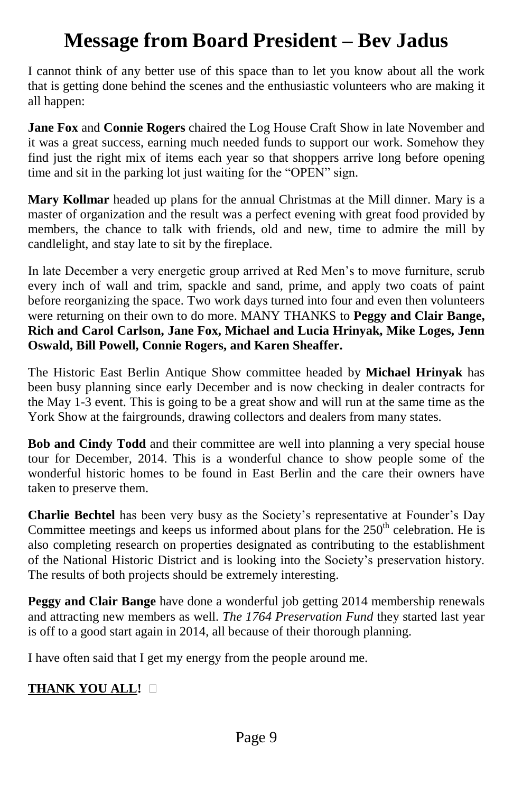## **Message from Board President –Bev Jadus**

I cannot think of any better use of this space than to let you know about all the work that is getting done behind the scenes and the enthusiastic volunteers who are making it all happen:

**Jane Fox** and **Connie Rogers** chaired the Log House Craft Show in late November and it was a great success, earning much needed funds to support our work. Somehow they find just the right mix of items each year so that shoppers arrive long before opening time and sit in the parking lot just waiting for the "OPEN" sign.

**Mary Kollmar** headed up plans for the annual Christmas at the Mill dinner. Mary is a master of organization and the result was a perfect evening with great food provided by members, the chance to talk with friends, old and new, time to admire the mill by candlelight, and stay late to sit by the fireplace.

In late December a very energetic group arrived at Red Men's to move furniture, scrub every inch of wall and trim, spackle and sand, prime, and apply two coats of paint before reorganizing the space. Two work days turned into four and even then volunteers were returning on their own to do more. MANY THANKS to **Peggy and Clair Bange, Rich and Carol Carlson, Jane Fox, Michael and Lucia Hrinyak, Mike Loges, Jenn Oswald, Bill Powell, Connie Rogers, and Karen Sheaffer.**

The Historic East Berlin Antique Show committee headed by **Michael Hrinyak** has been busy planning since early December and is now checking in dealer contracts for the May 1-3 event. This is going to be a great show and will run at the same time as the York Show at the fairgrounds, drawing collectors and dealers from many states.

**Bob and Cindy Todd** and their committee are well into planning a very special house tour for December, 2014. This is a wonderful chance to show people some of the wonderful historic homes to be found in East Berlin and the care their owners have taken to preserve them.

**Charlie Bechtel** has been very busy as the Society's representative at Founder's Day Committee meetings and keeps us informed about plans for the  $250<sup>th</sup>$  celebration. He is also completing research on properties designated as contributing to the establishment of the National Historic District and is looking into the Society's preservation history. The results of both projects should be extremely interesting.

**Peggy and Clair Bange** have done a wonderful job getting 2014 membership renewals and attracting new members as well. *The 1764 Preservation Fund* they started last year is off to a good start again in 2014, all because of their thorough planning.

I have often said that I get my energy from the people around me.

### **THANK YOU ALL!**